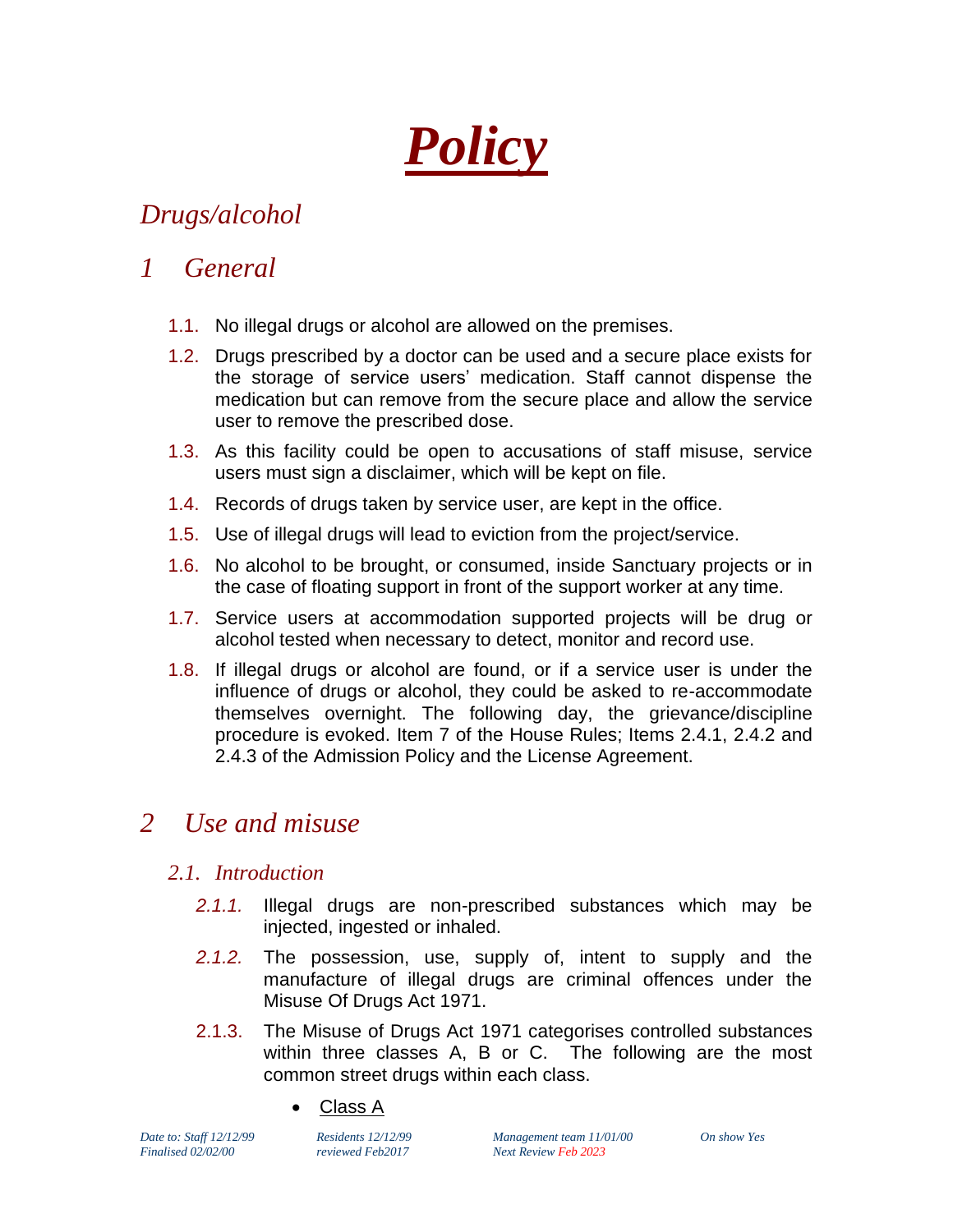*Policy*

# *Drugs/alcohol*

## *1 General*

- 1.1. No illegal drugs or alcohol are allowed on the premises.
- 1.2. Drugs prescribed by a doctor can be used and a secure place exists for the storage of service users' medication. Staff cannot dispense the medication but can remove from the secure place and allow the service user to remove the prescribed dose.
- 1.3. As this facility could be open to accusations of staff misuse, service users must sign a disclaimer, which will be kept on file.
- 1.4. Records of drugs taken by service user, are kept in the office.
- 1.5. Use of illegal drugs will lead to eviction from the project/service.
- 1.6. No alcohol to be brought, or consumed, inside Sanctuary projects or in the case of floating support in front of the support worker at any time.
- 1.7. Service users at accommodation supported projects will be drug or alcohol tested when necessary to detect, monitor and record use.
- 1.8. If illegal drugs or alcohol are found, or if a service user is under the influence of drugs or alcohol, they could be asked to re-accommodate themselves overnight. The following day, the grievance/discipline procedure is evoked. Item 7 of the House Rules; Items 2.4.1, 2.4.2 and 2.4.3 of the Admission Policy and the License Agreement.

### *2 Use and misuse*

#### *2.1. Introduction*

- *2.1.1.* Illegal drugs are non-prescribed substances which may be injected, ingested or inhaled.
- *2.1.2.* The possession, use, supply of, intent to supply and the manufacture of illegal drugs are criminal offences under the Misuse Of Drugs Act 1971.
- 2.1.3. The Misuse of Drugs Act 1971 categorises controlled substances within three classes A, B or C. The following are the most common street drugs within each class.
	- Class A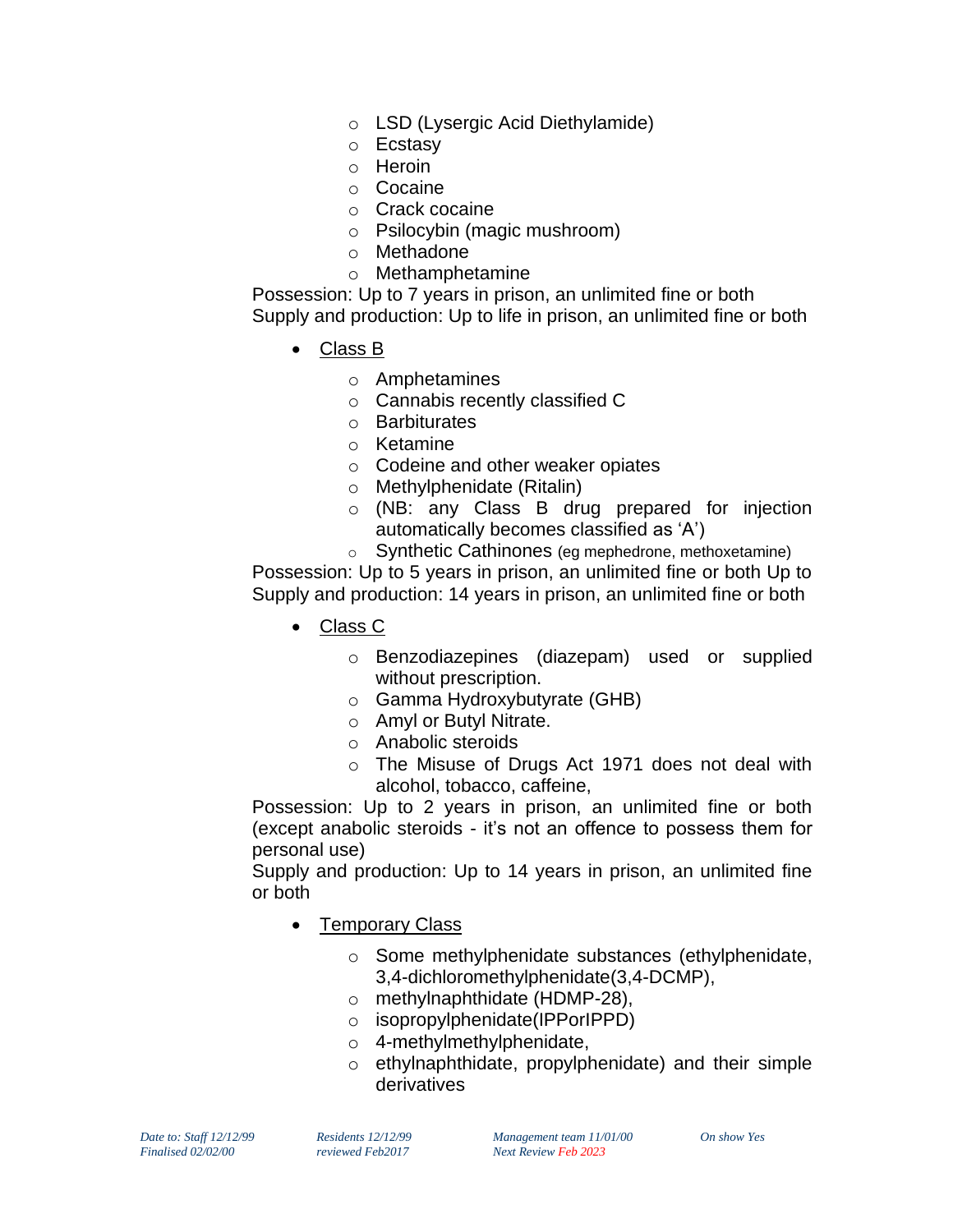- o LSD (Lysergic Acid Diethylamide)
- o Ecstasy
- o Heroin
- o Cocaine
- o Crack cocaine
- o Psilocybin (magic mushroom)
- o Methadone
- o Methamphetamine

Possession: Up to 7 years in prison, an unlimited fine or both Supply and production: Up to life in prison, an unlimited fine or both

- Class B
	- o Amphetamines
	- o Cannabis recently classified C
	- o Barbiturates
	- o Ketamine
	- o Codeine and other weaker opiates
	- o Methylphenidate (Ritalin)
	- o (NB: any Class B drug prepared for injection automatically becomes classified as 'A')
	- o Synthetic Cathinones (eg mephedrone, methoxetamine)

Possession: Up to 5 years in prison, an unlimited fine or both Up to Supply and production: 14 years in prison, an unlimited fine or both

- Class C
	- o Benzodiazepines (diazepam) used or supplied without prescription.
	- o Gamma Hydroxybutyrate (GHB)
	- o Amyl or Butyl Nitrate.
	- o Anabolic steroids
	- o The Misuse of Drugs Act 1971 does not deal with alcohol, tobacco, caffeine,

Possession: Up to 2 years in prison, an unlimited fine or both (except anabolic steroids - it's not an offence to possess them for personal use)

Supply and production: Up to 14 years in prison, an unlimited fine or both

- Temporary Class
	- o Some methylphenidate substances (ethylphenidate, 3,4-dichloromethylphenidate(3,4-DCMP),
	- o methylnaphthidate (HDMP-28),
	- o isopropylphenidate(IPPorIPPD)
	- o 4-methylmethylphenidate,
	- o ethylnaphthidate, propylphenidate) and their simple derivatives

*Date to: Staff 12/12/99 Residents 12/12/99 Management team 11/01/00 On show Yes Finalised 02/02/00 reviewed Feb2017 Next Review Feb 2023*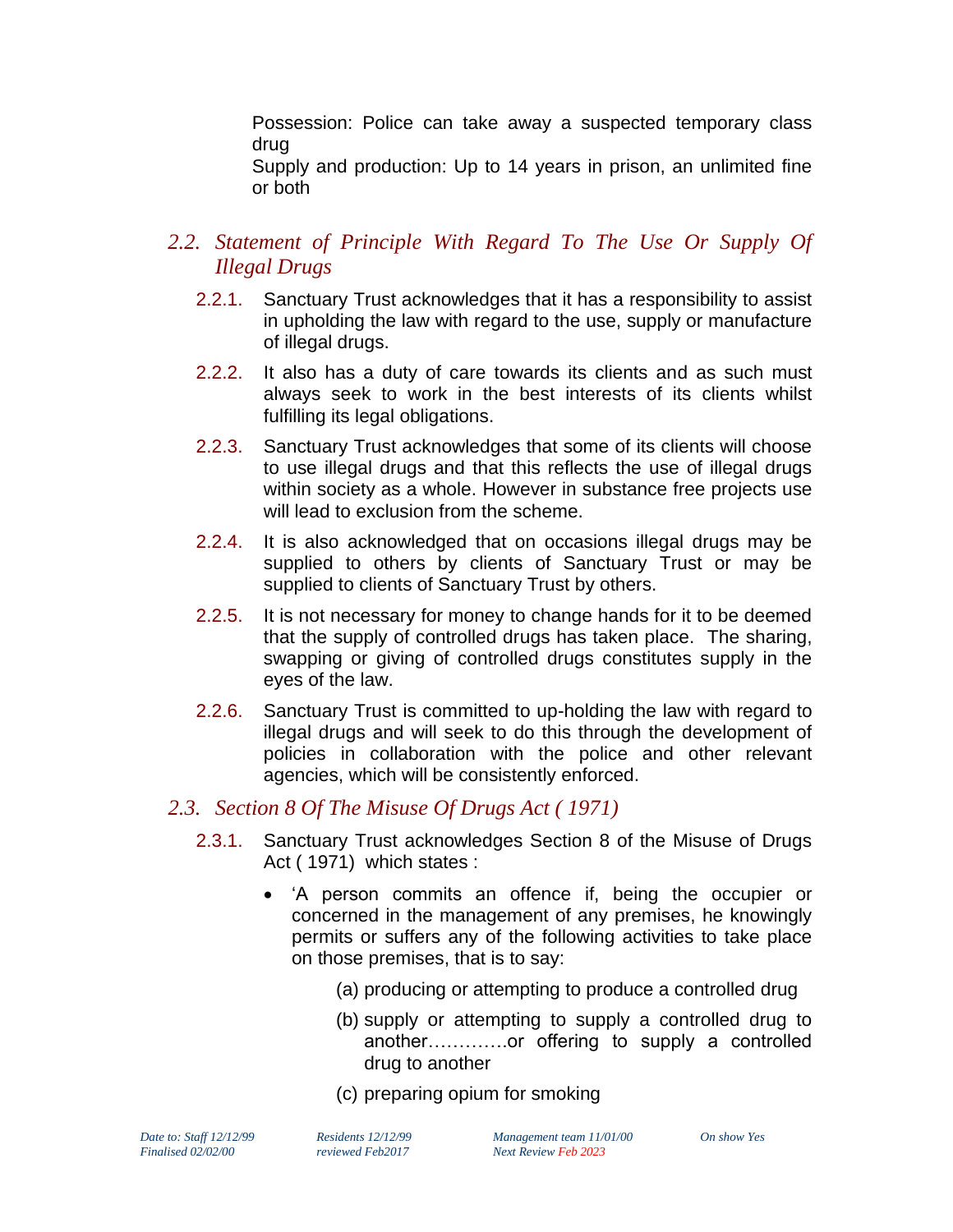Possession: Police can take away a suspected temporary class drug

Supply and production: Up to 14 years in prison, an unlimited fine or both

- *2.2. Statement of Principle With Regard To The Use Or Supply Of Illegal Drugs*
	- 2.2.1. Sanctuary Trust acknowledges that it has a responsibility to assist in upholding the law with regard to the use, supply or manufacture of illegal drugs.
	- 2.2.2. It also has a duty of care towards its clients and as such must always seek to work in the best interests of its clients whilst fulfilling its legal obligations.
	- 2.2.3. Sanctuary Trust acknowledges that some of its clients will choose to use illegal drugs and that this reflects the use of illegal drugs within society as a whole. However in substance free projects use will lead to exclusion from the scheme.
	- 2.2.4. It is also acknowledged that on occasions illegal drugs may be supplied to others by clients of Sanctuary Trust or may be supplied to clients of Sanctuary Trust by others.
	- 2.2.5. It is not necessary for money to change hands for it to be deemed that the supply of controlled drugs has taken place. The sharing, swapping or giving of controlled drugs constitutes supply in the eyes of the law.
	- 2.2.6. Sanctuary Trust is committed to up-holding the law with regard to illegal drugs and will seek to do this through the development of policies in collaboration with the police and other relevant agencies, which will be consistently enforced.

#### *2.3. Section 8 Of The Misuse Of Drugs Act ( 1971)*

- 2.3.1. Sanctuary Trust acknowledges Section 8 of the Misuse of Drugs Act ( 1971) which states :
	- 'A person commits an offence if, being the occupier or concerned in the management of any premises, he knowingly permits or suffers any of the following activities to take place on those premises, that is to say:
		- (a) producing or attempting to produce a controlled drug
		- (b) supply or attempting to supply a controlled drug to another………….or offering to supply a controlled drug to another
		- (c) preparing opium for smoking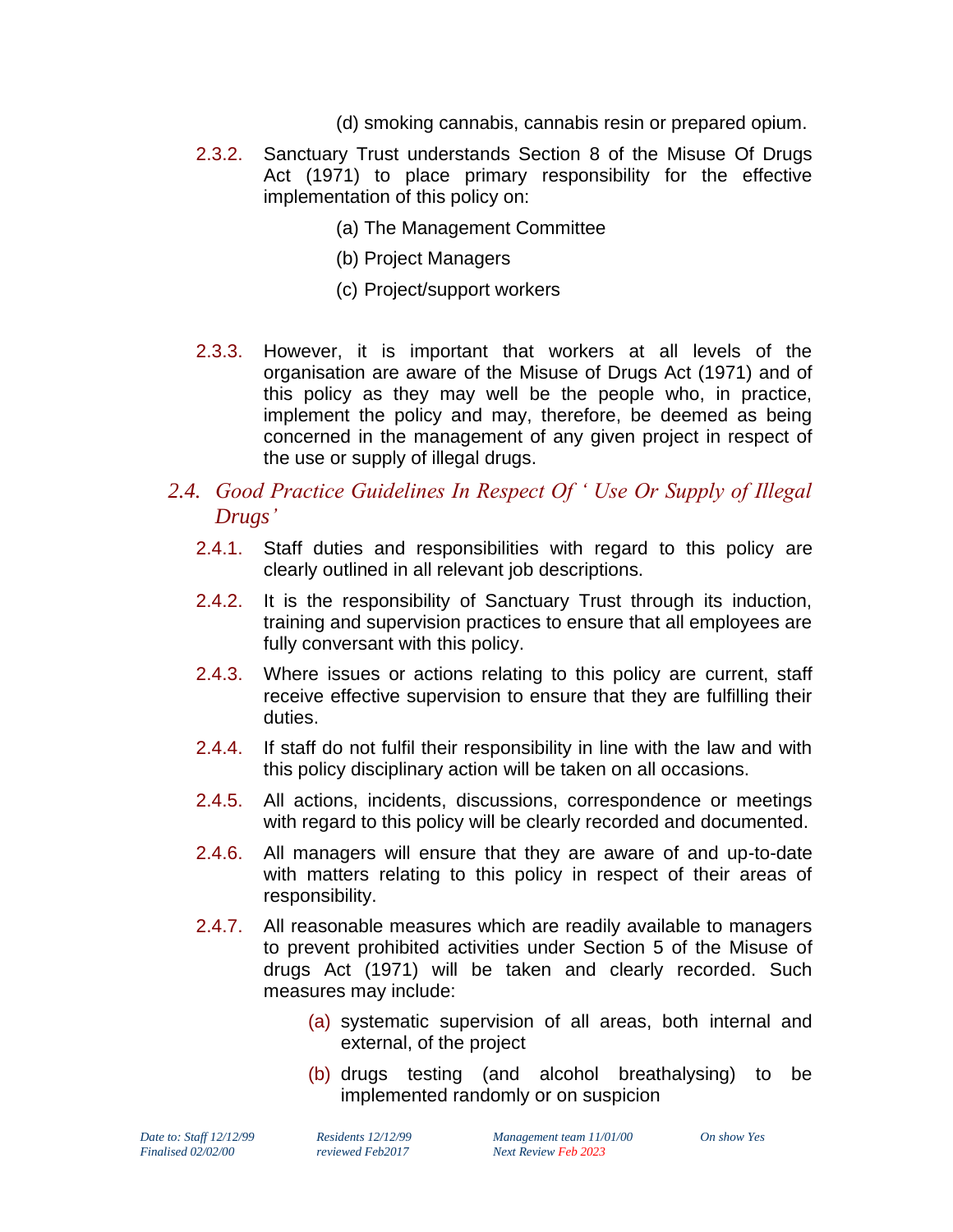- (d) smoking cannabis, cannabis resin or prepared opium.
- 2.3.2. Sanctuary Trust understands Section 8 of the Misuse Of Drugs Act (1971) to place primary responsibility for the effective implementation of this policy on:
	- (a) The Management Committee
	- (b) Project Managers
	- (c) Project/support workers
- 2.3.3. However, it is important that workers at all levels of the organisation are aware of the Misuse of Drugs Act (1971) and of this policy as they may well be the people who, in practice, implement the policy and may, therefore, be deemed as being concerned in the management of any given project in respect of the use or supply of illegal drugs.

#### *2.4. Good Practice Guidelines In Respect Of ' Use Or Supply of Illegal Drugs'*

- 2.4.1. Staff duties and responsibilities with regard to this policy are clearly outlined in all relevant job descriptions.
- 2.4.2. It is the responsibility of Sanctuary Trust through its induction, training and supervision practices to ensure that all employees are fully conversant with this policy.
- 2.4.3. Where issues or actions relating to this policy are current, staff receive effective supervision to ensure that they are fulfilling their duties.
- 2.4.4. If staff do not fulfil their responsibility in line with the law and with this policy disciplinary action will be taken on all occasions.
- 2.4.5. All actions, incidents, discussions, correspondence or meetings with regard to this policy will be clearly recorded and documented.
- 2.4.6. All managers will ensure that they are aware of and up-to-date with matters relating to this policy in respect of their areas of responsibility.
- 2.4.7. All reasonable measures which are readily available to managers to prevent prohibited activities under Section 5 of the Misuse of drugs Act (1971) will be taken and clearly recorded. Such measures may include:
	- (a) systematic supervision of all areas, both internal and external, of the project
	- (b) drugs testing (and alcohol breathalysing) to be implemented randomly or on suspicion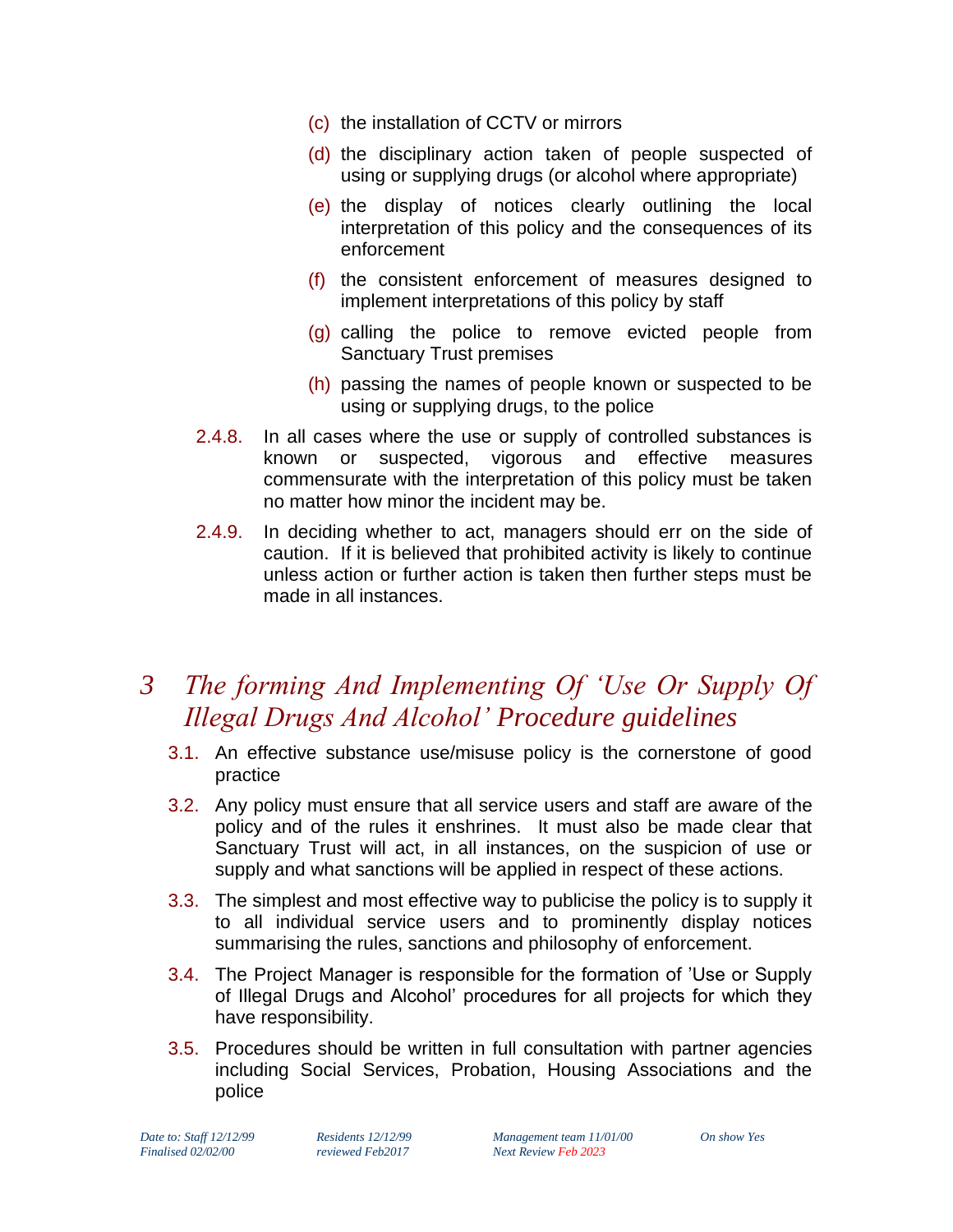- (c) the installation of CCTV or mirrors
- (d) the disciplinary action taken of people suspected of using or supplying drugs (or alcohol where appropriate)
- (e) the display of notices clearly outlining the local interpretation of this policy and the consequences of its enforcement
- (f) the consistent enforcement of measures designed to implement interpretations of this policy by staff
- (g) calling the police to remove evicted people from Sanctuary Trust premises
- (h) passing the names of people known or suspected to be using or supplying drugs, to the police
- 2.4.8. In all cases where the use or supply of controlled substances is known or suspected, vigorous and effective measures commensurate with the interpretation of this policy must be taken no matter how minor the incident may be.
- 2.4.9. In deciding whether to act, managers should err on the side of caution. If it is believed that prohibited activity is likely to continue unless action or further action is taken then further steps must be made in all instances.

## *3 The forming And Implementing Of 'Use Or Supply Of Illegal Drugs And Alcohol' Procedure guidelines*

- 3.1. An effective substance use/misuse policy is the cornerstone of good practice
- 3.2. Any policy must ensure that all service users and staff are aware of the policy and of the rules it enshrines. It must also be made clear that Sanctuary Trust will act, in all instances, on the suspicion of use or supply and what sanctions will be applied in respect of these actions.
- 3.3. The simplest and most effective way to publicise the policy is to supply it to all individual service users and to prominently display notices summarising the rules, sanctions and philosophy of enforcement.
- 3.4. The Project Manager is responsible for the formation of 'Use or Supply of Illegal Drugs and Alcohol' procedures for all projects for which they have responsibility.
- 3.5. Procedures should be written in full consultation with partner agencies including Social Services, Probation, Housing Associations and the police

*Finalised 02/02/00 reviewed Feb2017 Next Review Feb 2023*

*Date to: Staff 12/12/99 Residents 12/12/99 Management team 11/01/00 On show Yes*